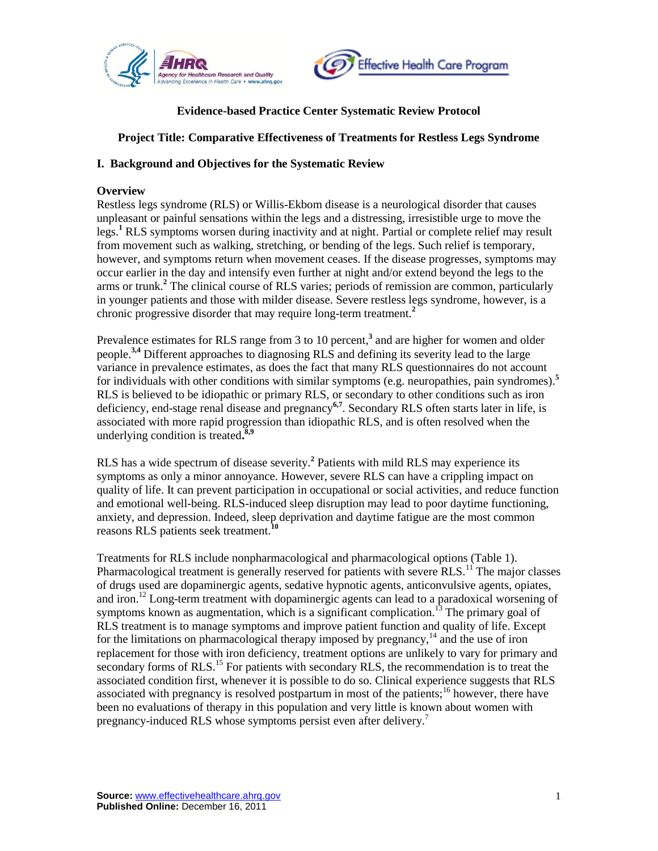



# **Evidence-based Practice Center Systematic Review Protocol**

### **Project Title: Comparative Effectiveness of Treatments for Restless Legs Syndrome**

#### **I. Background and Objectives for the Systematic Review**

#### **Overview**

Restless legs syndrome (RLS) or Willis-Ekbom disease is a neurological disorder that causes unpleasant or painful sensations within the legs and a distressing, irresistible urge to move the legs.**<sup>1</sup>** RLS symptoms worsen during inactivity and at night. Partial or complete relief may result from movement such as walking, stretching, or bending of the legs. Such relief is temporary, however, and symptoms return when movement ceases. If the disease progresses, symptoms may occur earlier in the day and intensify even further at night and/or extend beyond the legs to the arms or trunk.**<sup>2</sup>** The clinical course of RLS varies; periods of remission are common, particularly in younger patients and those with milder disease. Severe restless legs syndrome, however, is a chronic progressive disorder that may require long-term treatment.**<sup>2</sup>**

Prevalence estimates for RLS range from 3 to 10 percent,<sup>3</sup> and are higher for women and older people. **3,4** Different approaches to diagnosing RLS and defining its severity lead to the large variance in prevalence estimates, as does the fact that many RLS questionnaires do not account for individuals with other conditions with similar symptoms (e.g. neuropathies, pain syndromes). **5** RLS is believed to be idiopathic or primary RLS, or secondary to other conditions such as iron deficiency, end-stage renal disease and pregnancy**6,7**. Secondary RLS often starts later in life, is associated with more rapid progression than idiopathic RLS, and is often resolved when the underlying condition is treated**. 8,9**

RLS has a wide spectrum of disease severity.**<sup>2</sup>** Patients with mild RLS may experience its symptoms as only a minor annoyance. However, severe RLS can have a crippling impact on quality of life. It can prevent participation in occupational or social activities, and reduce function and emotional well-being. RLS-induced sleep disruption may lead to poor daytime functioning, anxiety, and depression. Indeed, sleep deprivation and daytime fatigue are the most common reasons RLS patients seek treatment.**<sup>10</sup>**

Treatments for RLS include nonpharmacological and pharmacological options (Table 1). Pharmacological treatment is generally reserved for patients with severe  $RLS$ <sup>11</sup>. The major classes of drugs used are dopaminergic agents, sedative hypnotic agents, anticonvulsive agents, opiates, and iron.<sup>12</sup> Long-term treatment with dopaminergic agents can lead to a paradoxical worsening of symptoms known as augmentation, which is a significant complication.<sup>13</sup> The primary goal of RLS treatment is to manage symptoms and improve patient function and quality of life. Except for the limitations on pharmacological therapy imposed by pregnancy,  $14$  and the use of iron replacement for those with iron deficiency, treatment options are unlikely to vary for primary and secondary forms of RLS.<sup>15</sup> For patients with secondary RLS, the recommendation is to treat the associated condition first, whenever it is possible to do so. Clinical experience suggests that RLS associated with pregnancy is resolved postpartum in most of the patients;<sup>16</sup> however, there have been no evaluations of therapy in this population and very little is known about women with pregnancy-induced RLS whose symptoms persist even after delivery.<sup>7</sup>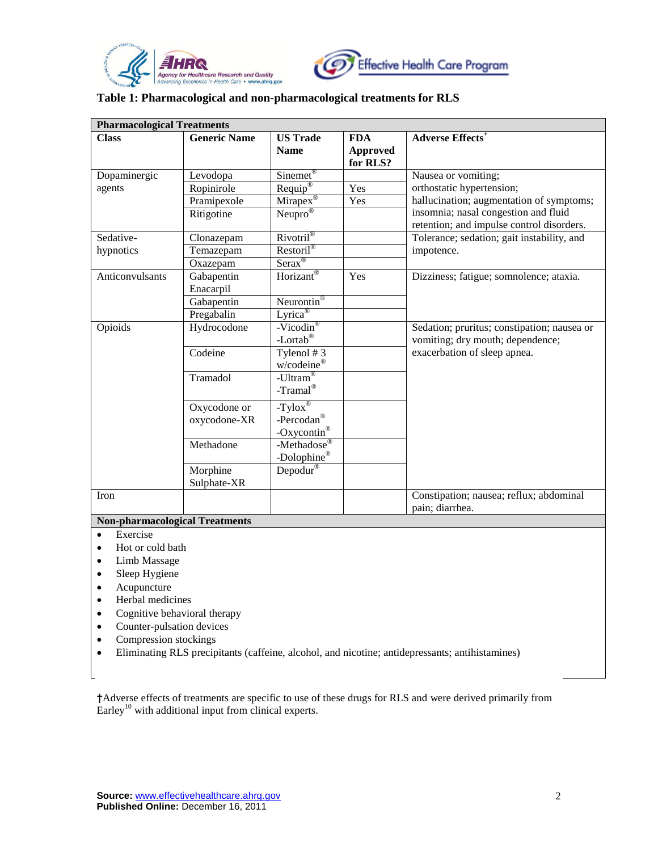



## **Table 1: Pharmacological and non-pharmacological treatments for RLS**

| <b>Pharmacological Treatments</b>                                                                            |                         |                                       |                                           |                                                                                                                 |  |  |
|--------------------------------------------------------------------------------------------------------------|-------------------------|---------------------------------------|-------------------------------------------|-----------------------------------------------------------------------------------------------------------------|--|--|
| <b>Class</b>                                                                                                 | <b>Generic Name</b>     | <b>US Trade</b><br><b>Name</b>        | <b>FDA</b><br><b>Approved</b><br>for RLS? | <b>Adverse Effects<sup>+</sup></b>                                                                              |  |  |
| Dopaminergic                                                                                                 | Levodopa                | Sinemet <sup>®</sup>                  |                                           | Nausea or vomiting;                                                                                             |  |  |
| agents                                                                                                       | Ropinirole              | Requip <sup>®</sup>                   | Yes                                       | orthostatic hypertension;                                                                                       |  |  |
|                                                                                                              | Pramipexole             | Mirapex <sup>®</sup>                  | Yes                                       | hallucination; augmentation of symptoms;                                                                        |  |  |
|                                                                                                              | Ritigotine              | $Neupro^{\circledR}$                  |                                           | insomnia; nasal congestion and fluid<br>retention; and impulse control disorders.                               |  |  |
| Sedative-                                                                                                    | Clonazepam              | Rivotril®                             |                                           | Tolerance; sedation; gait instability, and                                                                      |  |  |
| hypnotics                                                                                                    | Temazepam               | Restoril®                             |                                           | impotence.                                                                                                      |  |  |
|                                                                                                              | Oxazepam                | Serax <sup>®</sup>                    |                                           |                                                                                                                 |  |  |
| Anticonvulsants                                                                                              | Gabapentin<br>Enacarpil | Horizant <sup>®</sup>                 | Yes                                       | Dizziness; fatigue; somnolence; ataxia.                                                                         |  |  |
|                                                                                                              | Gabapentin              | Neurontin <sup>®</sup>                |                                           |                                                                                                                 |  |  |
|                                                                                                              | Pregabalin              | Lyrica <sup>®</sup>                   |                                           |                                                                                                                 |  |  |
| Opioids                                                                                                      | Hydrocodone             | $-Vicodin^{\circledR}$<br>-Lortab®    |                                           | Sedation; pruritus; constipation; nausea or<br>vomiting; dry mouth; dependence;<br>exacerbation of sleep apnea. |  |  |
|                                                                                                              | Codeine                 | Tylenol # $3$<br>w/codeine®           |                                           |                                                                                                                 |  |  |
|                                                                                                              | Tramadol                | -Ultram®<br>-Tramal®                  |                                           |                                                                                                                 |  |  |
|                                                                                                              | Oxycodone or            | $-Tylox^{\circledR}$                  |                                           |                                                                                                                 |  |  |
|                                                                                                              | oxycodone-XR            | -Percodan®<br>-Oxycontin <sup>®</sup> |                                           |                                                                                                                 |  |  |
|                                                                                                              | Methadone               | -Methadose®<br>-Dolophine®            |                                           |                                                                                                                 |  |  |
|                                                                                                              | Morphine<br>Sulphate-XR | Depodur <sup>®</sup>                  |                                           |                                                                                                                 |  |  |
| Iron                                                                                                         |                         |                                       |                                           | Constipation; nausea; reflux; abdominal<br>pain; diarrhea.                                                      |  |  |
| <b>Non-pharmacological Treatments</b>                                                                        |                         |                                       |                                           |                                                                                                                 |  |  |
| Exercise<br>$\bullet$                                                                                        |                         |                                       |                                           |                                                                                                                 |  |  |
| Hot or cold bath<br>$\bullet$                                                                                |                         |                                       |                                           |                                                                                                                 |  |  |
| Limb Massage<br>$\bullet$                                                                                    |                         |                                       |                                           |                                                                                                                 |  |  |
| Sleep Hygiene<br>$\bullet$                                                                                   |                         |                                       |                                           |                                                                                                                 |  |  |
| Acupuncture<br>$\bullet$                                                                                     |                         |                                       |                                           |                                                                                                                 |  |  |
| Herbal medicines<br>$\bullet$                                                                                |                         |                                       |                                           |                                                                                                                 |  |  |
| Cognitive behavioral therapy<br>$\bullet$                                                                    |                         |                                       |                                           |                                                                                                                 |  |  |
| Counter-pulsation devices<br>$\bullet$                                                                       |                         |                                       |                                           |                                                                                                                 |  |  |
| Compression stockings<br>$\bullet$                                                                           |                         |                                       |                                           |                                                                                                                 |  |  |
| Eliminating RLS precipitants (caffeine, alcohol, and nicotine; antidepressants; antihistamines)<br>$\bullet$ |                         |                                       |                                           |                                                                                                                 |  |  |

†Adverse effects of treatments are specific to use of these drugs for RLS and were derived primarily from Earley<sup>10</sup> with additional input from clinical experts.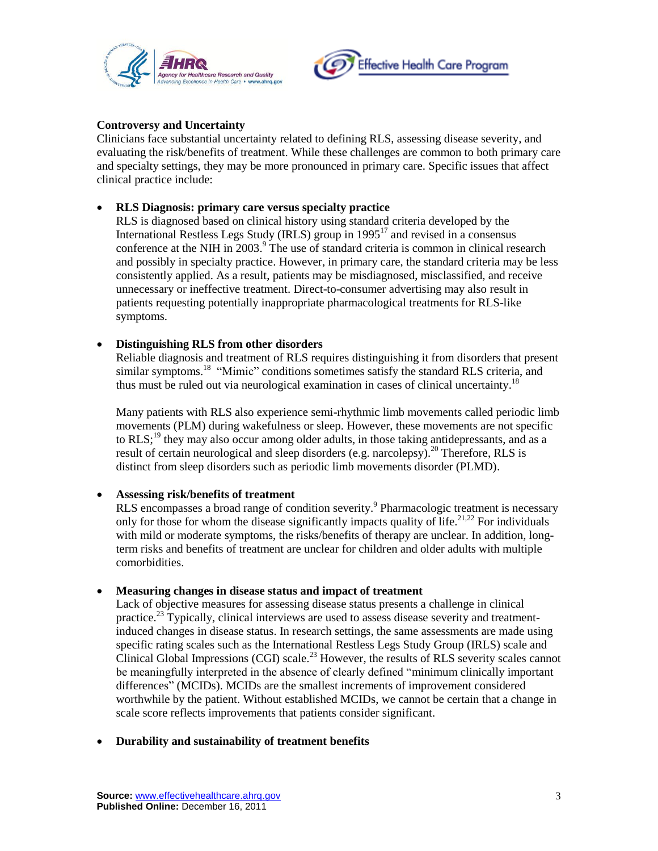



### **Controversy and Uncertainty**

Clinicians face substantial uncertainty related to defining RLS, assessing disease severity, and evaluating the risk/benefits of treatment. While these challenges are common to both primary care and specialty settings, they may be more pronounced in primary care. Specific issues that affect clinical practice include:

### **RLS Diagnosis: primary care versus specialty practice**

RLS is diagnosed based on clinical history using standard criteria developed by the International Restless Legs Study (IRLS) group in  $1995<sup>17</sup>$  and revised in a consensus conference at the NIH in 2003.<sup>9</sup> The use of standard criteria is common in clinical research and possibly in specialty practice. However, in primary care, the standard criteria may be less consistently applied. As a result, patients may be misdiagnosed, misclassified, and receive unnecessary or ineffective treatment. Direct-to-consumer advertising may also result in patients requesting potentially inappropriate pharmacological treatments for RLS-like symptoms.

## **Distinguishing RLS from other disorders**

Reliable diagnosis and treatment of RLS requires distinguishing it from disorders that present similar symptoms.<sup>18</sup> "Mimic" conditions sometimes satisfy the standard RLS criteria, and thus must be ruled out via neurological examination in cases of clinical uncertainty.<sup>18</sup>

Many patients with RLS also experience semi-rhythmic limb movements called periodic limb movements (PLM) during wakefulness or sleep. However, these movements are not specific to RLS;<sup>19</sup> they may also occur among older adults, in those taking antidepressants, and as a result of certain neurological and sleep disorders (e.g. narcolepsy).<sup>20</sup> Therefore, RLS is distinct from sleep disorders such as periodic limb movements disorder (PLMD).

### **Assessing risk/benefits of treatment**

RLS encompasses a broad range of condition severity.<sup>9</sup> Pharmacologic treatment is necessary only for those for whom the disease significantly impacts quality of life.<sup>21,22</sup> For individuals with mild or moderate symptoms, the risks/benefits of therapy are unclear. In addition, longterm risks and benefits of treatment are unclear for children and older adults with multiple comorbidities.

### **Measuring changes in disease status and impact of treatment**

Lack of objective measures for assessing disease status presents a challenge in clinical practice.<sup>23</sup> Typically, clinical interviews are used to assess disease severity and treatmentinduced changes in disease status. In research settings, the same assessments are made using specific rating scales such as the International Restless Legs Study Group (IRLS) scale and Clinical Global Impressions (CGI) scale.<sup>23</sup> However, the results of RLS severity scales cannot be meaningfully interpreted in the absence of clearly defined "minimum clinically important differences" (MCIDs). MCIDs are the smallest increments of improvement considered worthwhile by the patient. Without established MCIDs, we cannot be certain that a change in scale score reflects improvements that patients consider significant.

### **Durability and sustainability of treatment benefits**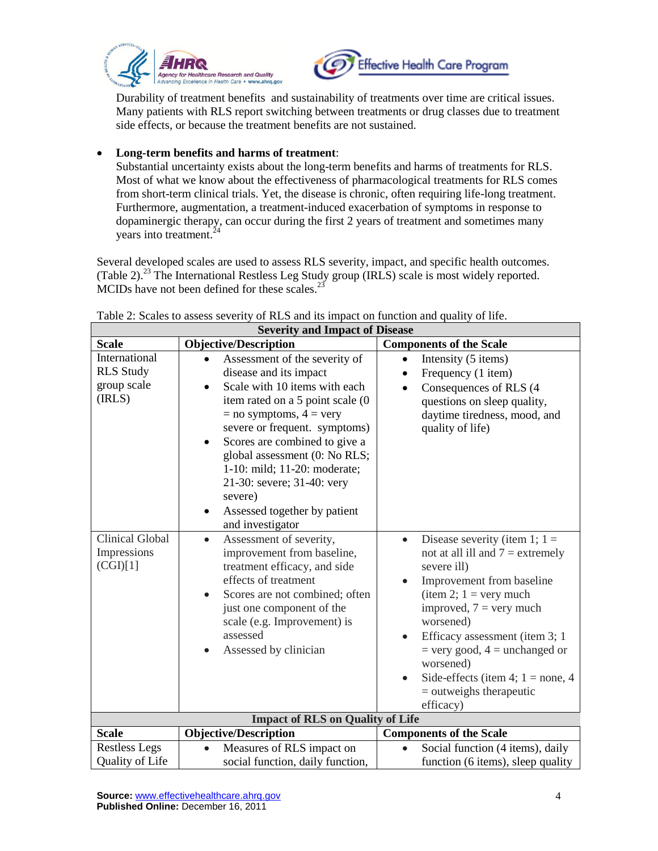



Durability of treatment benefits and sustainability of treatments over time are critical issues. Many patients with RLS report switching between treatments or drug classes due to treatment side effects, or because the treatment benefits are not sustained.

# **Long-term benefits and harms of treatment**:

Substantial uncertainty exists about the long-term benefits and harms of treatments for RLS. Most of what we know about the effectiveness of pharmacological treatments for RLS comes from short-term clinical trials. Yet, the disease is chronic, often requiring life-long treatment. Furthermore, augmentation, a treatment-induced exacerbation of symptoms in response to dopaminergic therapy, can occur during the first 2 years of treatment and sometimes many years into treatment. $24$ 

Several developed scales are used to assess RLS severity, impact, and specific health outcomes. (Table 2).<sup>23</sup> The International Restless Leg Study group (IRLS) scale is most widely reported. MCIDs have not been defined for these scales.<sup>23</sup>

| <b>Severity and Impact of Disease</b>                      |                                                                                                                                                                                                                                                                                                                                                                                                           |                                                                                                                                                                                                                                                                                                                                                                          |  |  |  |
|------------------------------------------------------------|-----------------------------------------------------------------------------------------------------------------------------------------------------------------------------------------------------------------------------------------------------------------------------------------------------------------------------------------------------------------------------------------------------------|--------------------------------------------------------------------------------------------------------------------------------------------------------------------------------------------------------------------------------------------------------------------------------------------------------------------------------------------------------------------------|--|--|--|
| <b>Scale</b>                                               | <b>Objective/Description</b>                                                                                                                                                                                                                                                                                                                                                                              | <b>Components of the Scale</b>                                                                                                                                                                                                                                                                                                                                           |  |  |  |
| International<br><b>RLS Study</b><br>group scale<br>(IRLS) | Assessment of the severity of<br>disease and its impact<br>Scale with 10 items with each<br>$\bullet$<br>item rated on a 5 point scale (0)<br>$=$ no symptoms, $4 =$ very<br>severe or frequent. symptoms)<br>Scores are combined to give a<br>global assessment (0: No RLS;<br>1-10: mild; 11-20: moderate;<br>21-30: severe; 31-40: very<br>severe)<br>Assessed together by patient<br>and investigator | Intensity (5 items)<br>$\bullet$<br>Frequency (1 item)<br>$\bullet$<br>Consequences of RLS (4)<br>questions on sleep quality,<br>daytime tiredness, mood, and<br>quality of life)                                                                                                                                                                                        |  |  |  |
| <b>Clinical Global</b><br>Impressions<br>(CGI)[1]          | Assessment of severity,<br>$\bullet$<br>improvement from baseline,<br>treatment efficacy, and side<br>effects of treatment<br>Scores are not combined; often<br>just one component of the<br>scale (e.g. Improvement) is<br>assessed<br>Assessed by clinician                                                                                                                                             | Disease severity (item 1; $1 =$<br>$\bullet$<br>not at all ill and $7 =$ extremely<br>severe ill)<br>Improvement from baseline<br>$item 2; 1 = very much$<br>improved, $7 =$ very much<br>worsened)<br>Efficacy assessment (item 3; 1<br>$=$ very good, $4 =$ unchanged or<br>worsened)<br>Side-effects (item 4; $1 =$ none, 4<br>$=$ outweighs therapeutic<br>efficacy) |  |  |  |
|                                                            | <b>Impact of RLS on Quality of Life</b>                                                                                                                                                                                                                                                                                                                                                                   |                                                                                                                                                                                                                                                                                                                                                                          |  |  |  |
| <b>Scale</b>                                               | <b>Objective/Description</b>                                                                                                                                                                                                                                                                                                                                                                              | <b>Components of the Scale</b>                                                                                                                                                                                                                                                                                                                                           |  |  |  |
| <b>Restless Legs</b><br>Quality of Life                    | Measures of RLS impact on<br>social function, daily function,                                                                                                                                                                                                                                                                                                                                             | Social function (4 items), daily<br>function (6 items), sleep quality                                                                                                                                                                                                                                                                                                    |  |  |  |

Table 2: Scales to assess severity of RLS and its impact on function and quality of life.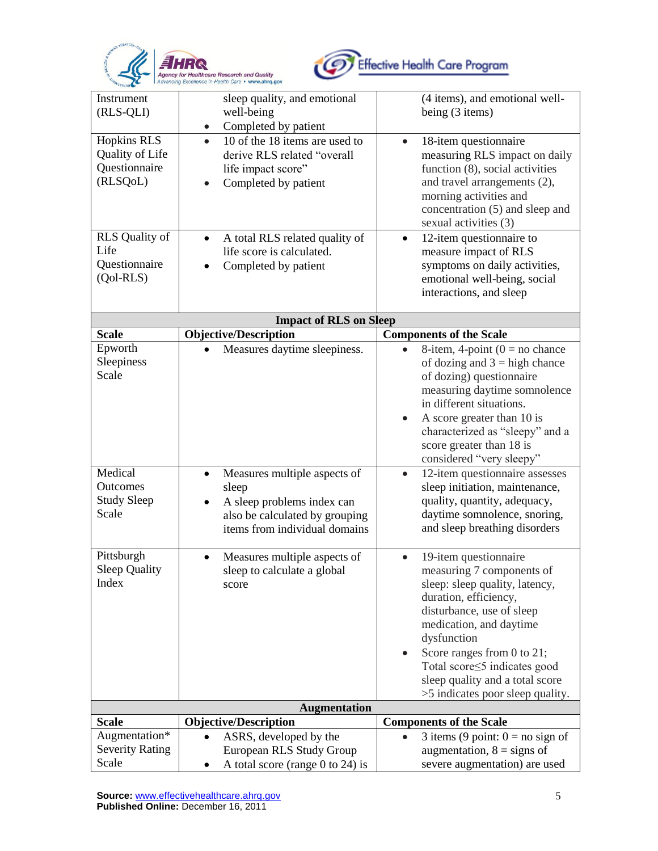



| Instrument                     | sleep quality, and emotional                                        | (4 items), and emotional well-                                      |
|--------------------------------|---------------------------------------------------------------------|---------------------------------------------------------------------|
| (RLS-QLI)                      | well-being                                                          | being (3 items)                                                     |
| <b>Hopkins RLS</b>             | Completed by patient<br>$\bullet$<br>10 of the 18 items are used to |                                                                     |
| Quality of Life                | $\bullet$<br>derive RLS related "overall                            | 18-item questionnaire<br>$\bullet$<br>measuring RLS impact on daily |
| Questionnaire                  | life impact score"                                                  | function (8), social activities                                     |
| (RLSQoL)                       | Completed by patient                                                | and travel arrangements (2),                                        |
|                                |                                                                     | morning activities and                                              |
|                                |                                                                     | concentration (5) and sleep and                                     |
|                                |                                                                     | sexual activities (3)                                               |
| RLS Quality of                 | A total RLS related quality of<br>$\bullet$                         | 12-item questionnaire to<br>$\bullet$                               |
| Life                           | life score is calculated.                                           | measure impact of RLS                                               |
| Questionnaire<br>$(Qol-RLS)$   | Completed by patient                                                | symptoms on daily activities,                                       |
|                                |                                                                     | emotional well-being, social<br>interactions, and sleep             |
|                                |                                                                     |                                                                     |
|                                | <b>Impact of RLS on Sleep</b>                                       |                                                                     |
| <b>Scale</b>                   | Objective/Description                                               | <b>Components of the Scale</b>                                      |
| Epworth                        | Measures daytime sleepiness.                                        | 8-item, 4-point ( $0 =$ no chance<br>$\bullet$                      |
| Sleepiness<br>Scale            |                                                                     | of dozing and $3 =$ high chance                                     |
|                                |                                                                     | of dozing) questionnaire<br>measuring daytime somnolence            |
|                                |                                                                     | in different situations.                                            |
|                                |                                                                     | A score greater than 10 is<br>$\bullet$                             |
|                                |                                                                     | characterized as "sleepy" and a                                     |
|                                |                                                                     | score greater than 18 is                                            |
|                                |                                                                     | considered "very sleepy"                                            |
| Medical                        | Measures multiple aspects of<br>$\bullet$                           | 12-item questionnaire assesses<br>$\bullet$                         |
| Outcomes<br><b>Study Sleep</b> | sleep                                                               | sleep initiation, maintenance,                                      |
| Scale                          | A sleep problems index can<br>also be calculated by grouping        | quality, quantity, adequacy,<br>daytime somnolence, snoring,        |
|                                | items from individual domains                                       | and sleep breathing disorders                                       |
|                                |                                                                     |                                                                     |
| Pittsburgh                     | Measures multiple aspects of<br>٠                                   | 19-item questionnaire                                               |
| <b>Sleep Quality</b>           | sleep to calculate a global                                         | measuring 7 components of                                           |
| Index                          | score                                                               | sleep: sleep quality, latency,                                      |
|                                |                                                                     | duration, efficiency,                                               |
|                                |                                                                     | disturbance, use of sleep<br>medication, and daytime                |
|                                |                                                                     | dysfunction                                                         |
|                                |                                                                     | Score ranges from 0 to 21;                                          |
|                                |                                                                     | Total score << 5 indicates good                                     |
|                                |                                                                     | sleep quality and a total score                                     |
|                                |                                                                     | >5 indicates poor sleep quality.                                    |
| <b>Scale</b>                   | <b>Augmentation</b><br><b>Objective/Description</b>                 | <b>Components of the Scale</b>                                      |
| Augmentation*                  | ASRS, developed by the                                              | 3 items (9 point: $0 = no$ sign of                                  |
| <b>Severity Rating</b>         | European RLS Study Group                                            | augmentation, $8 =$ signs of                                        |
| Scale                          | A total score (range $0$ to $24$ ) is                               | severe augmentation) are used                                       |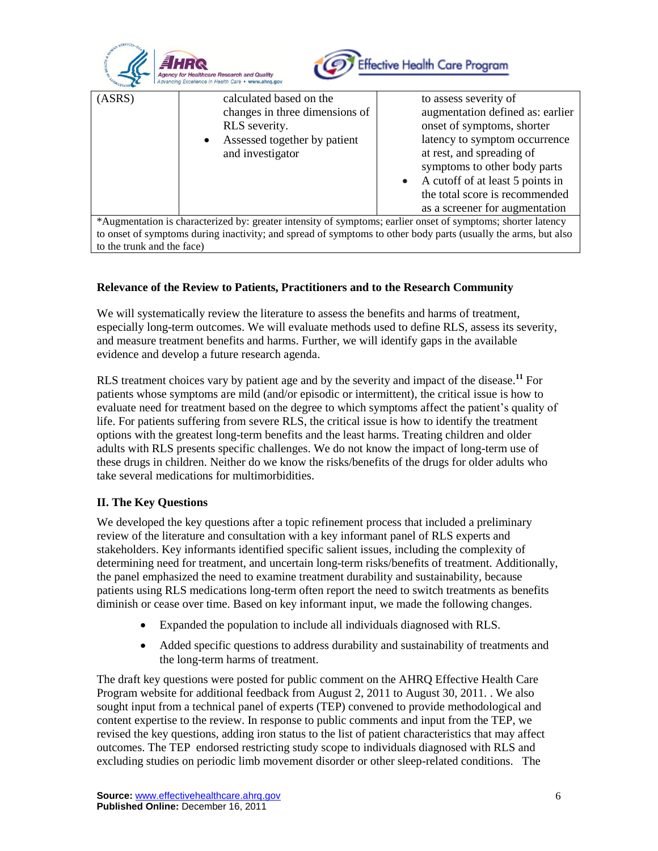

\*Augmentation is characterized by: greater intensity of symptoms; earlier onset of symptoms; shorter latency to onset of symptoms during inactivity; and spread of symptoms to other body parts (usually the arms, but also to the trunk and the face)

# **Relevance of the Review to Patients, Practitioners and to the Research Community**

We will systematically review the literature to assess the benefits and harms of treatment, especially long-term outcomes. We will evaluate methods used to define RLS, assess its severity, and measure treatment benefits and harms. Further, we will identify gaps in the available evidence and develop a future research agenda.

RLS treatment choices vary by patient age and by the severity and impact of the disease.**<sup>11</sup>** For patients whose symptoms are mild (and/or episodic or intermittent), the critical issue is how to evaluate need for treatment based on the degree to which symptoms affect the patient's quality of life. For patients suffering from severe RLS, the critical issue is how to identify the treatment options with the greatest long-term benefits and the least harms. Treating children and older adults with RLS presents specific challenges. We do not know the impact of long-term use of these drugs in children. Neither do we know the risks/benefits of the drugs for older adults who take several medications for multimorbidities.

# **II. The Key Questions**

We developed the key questions after a topic refinement process that included a preliminary review of the literature and consultation with a key informant panel of RLS experts and stakeholders. Key informants identified specific salient issues, including the complexity of determining need for treatment, and uncertain long-term risks/benefits of treatment. Additionally, the panel emphasized the need to examine treatment durability and sustainability, because patients using RLS medications long-term often report the need to switch treatments as benefits diminish or cease over time. Based on key informant input, we made the following changes.

- Expanded the population to include all individuals diagnosed with RLS.
- Added specific questions to address durability and sustainability of treatments and the long-term harms of treatment.

The draft key questions were posted for public comment on the AHRQ Effective Health Care Program website for additional feedback from August 2, 2011 to August 30, 2011. . We also sought input from a technical panel of experts (TEP) convened to provide methodological and content expertise to the review. In response to public comments and input from the TEP, we revised the key questions, adding iron status to the list of patient characteristics that may affect outcomes. The TEP endorsed restricting study scope to individuals diagnosed with RLS and excluding studies on periodic limb movement disorder or other sleep-related conditions. The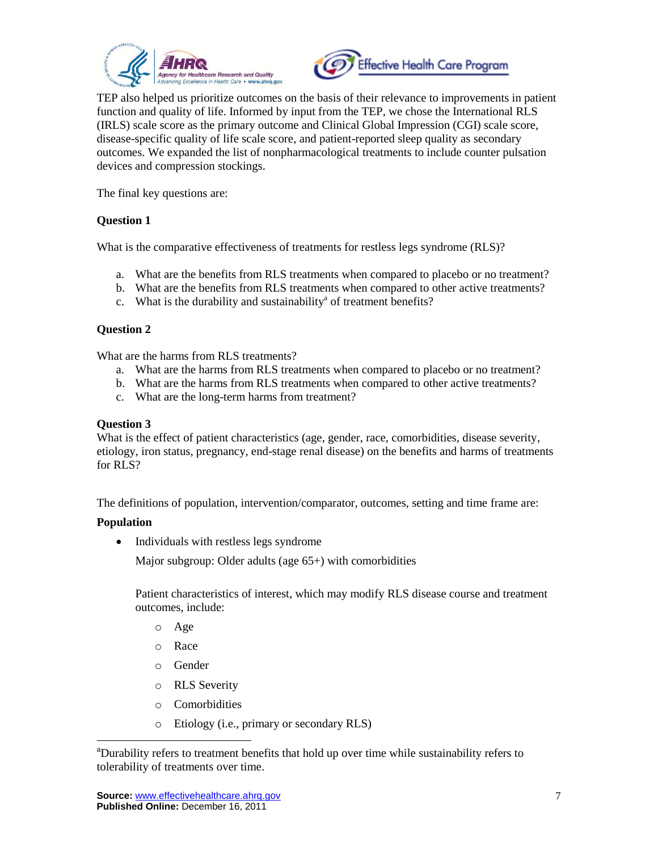



TEP also helped us prioritize outcomes on the basis of their relevance to improvements in patient function and quality of life. Informed by input from the TEP, we chose the International RLS (IRLS) scale score as the primary outcome and Clinical Global Impression (CGI) scale score, disease-specific quality of life scale score, and patient-reported sleep quality as secondary outcomes. We expanded the list of nonpharmacological treatments to include counter pulsation devices and compression stockings.

The final key questions are:

# **Question 1**

What is the comparative effectiveness of treatments for restless legs syndrome (RLS)?

- a. What are the benefits from RLS treatments when compared to placebo or no treatment?
- b. What are the benefits from RLS treatments when compared to other active treatments?
- c. What is the durability and sustainability<sup>a</sup> of treatment benefits?

## **Question 2**

What are the harms from RLS treatments?

- a. What are the harms from RLS treatments when compared to placebo or no treatment?
- b. What are the harms from RLS treatments when compared to other active treatments?
- c. What are the long-term harms from treatment?

### **Question 3**

What is the effect of patient characteristics (age, gender, race, comorbidities, disease severity, etiology, iron status, pregnancy, end-stage renal disease) on the benefits and harms of treatments for RLS?

The definitions of population, intervention/comparator, outcomes, setting and time frame are:

# **Population**

 $\overline{a}$ 

• Individuals with restless legs syndrome

Major subgroup: Older adults (age 65+) with comorbidities

Patient characteristics of interest, which may modify RLS disease course and treatment outcomes, include:

- o Age
- o Race
- o Gender
- o RLS Severity
- o Comorbidities
- o Etiology (i.e., primary or secondary RLS)

<sup>&</sup>lt;sup>a</sup>Durability refers to treatment benefits that hold up over time while sustainability refers to tolerability of treatments over time.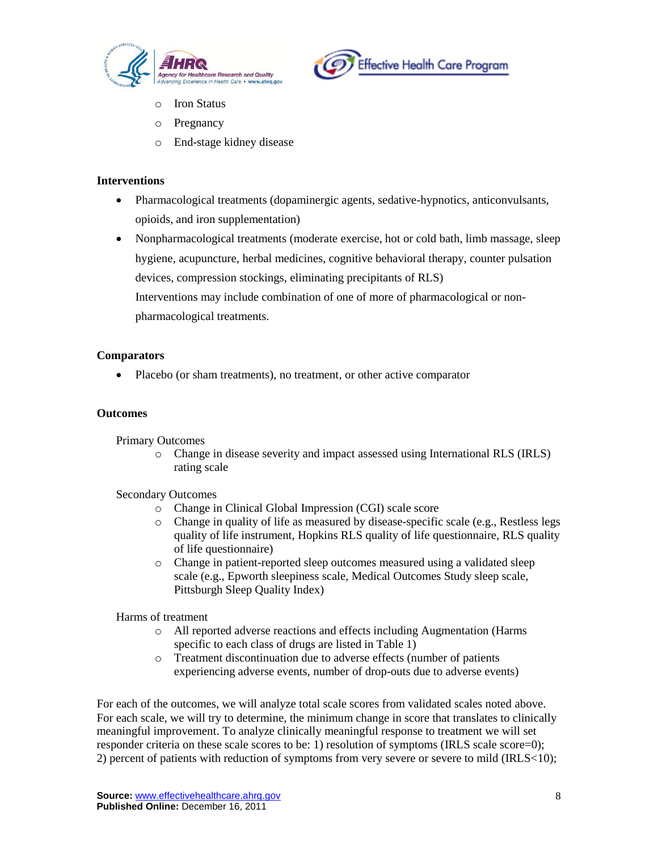



- o Iron Status
- o Pregnancy
- o End-stage kidney disease

### **Interventions**

- Pharmacological treatments (dopaminergic agents, sedative-hypnotics, anticonvulsants, opioids, and iron supplementation)
- Nonpharmacological treatments (moderate exercise, hot or cold bath, limb massage, sleep hygiene, acupuncture, herbal medicines, cognitive behavioral therapy, counter pulsation devices, compression stockings, eliminating precipitants of RLS) Interventions may include combination of one of more of pharmacological or nonpharmacological treatments.

#### **Comparators**

• Placebo (or sham treatments), no treatment, or other active comparator

### **Outcomes**

Primary Outcomes

o Change in disease severity and impact assessed using International RLS (IRLS) rating scale

### Secondary Outcomes

- o Change in Clinical Global Impression (CGI) scale score
- o Change in quality of life as measured by disease-specific scale (e.g., Restless legs quality of life instrument, Hopkins RLS quality of life questionnaire, RLS quality of life questionnaire)
- o Change in patient-reported sleep outcomes measured using a validated sleep scale (e.g., Epworth sleepiness scale, Medical Outcomes Study sleep scale, Pittsburgh Sleep Quality Index)

### Harms of treatment

- o All reported adverse reactions and effects including Augmentation (Harms specific to each class of drugs are listed in Table 1)
- o Treatment discontinuation due to adverse effects (number of patients experiencing adverse events, number of drop-outs due to adverse events)

For each of the outcomes, we will analyze total scale scores from validated scales noted above. For each scale, we will try to determine, the minimum change in score that translates to clinically meaningful improvement. To analyze clinically meaningful response to treatment we will set responder criteria on these scale scores to be: 1) resolution of symptoms (IRLS scale score=0); 2) percent of patients with reduction of symptoms from very severe or severe to mild (IRLS<10);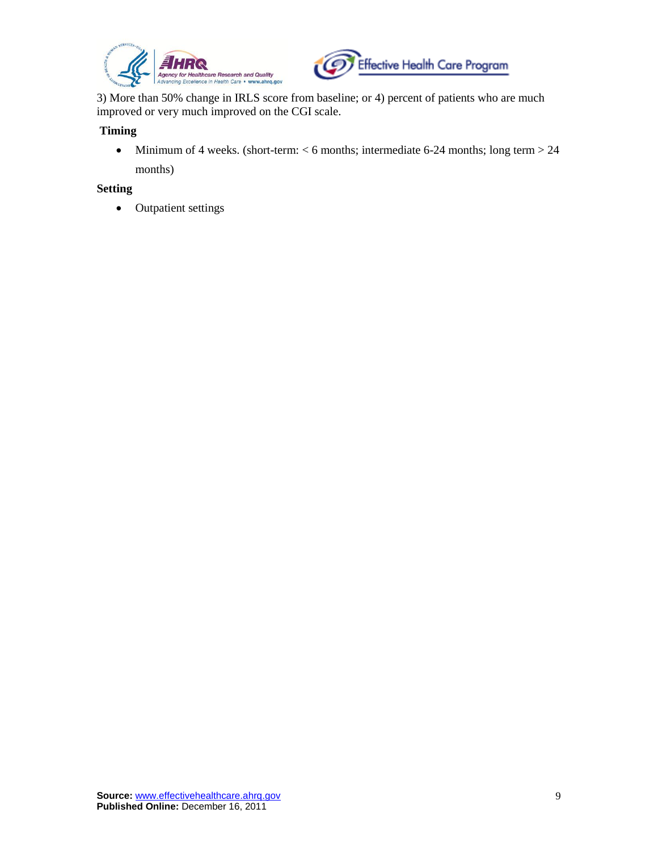



3) More than 50% change in IRLS score from baseline; or 4) percent of patients who are much improved or very much improved on the CGI scale.

## **Timing**

• Minimum of 4 weeks. (short-term: < 6 months; intermediate 6-24 months; long term > 24 months)

### **Setting**

• Outpatient settings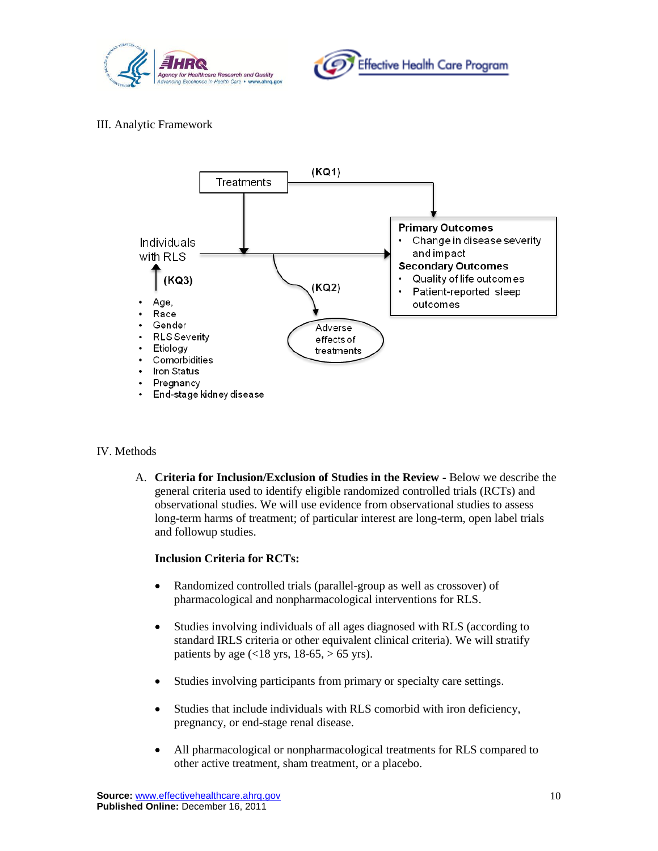



## III. Analytic Framework



#### IV. Methods

A. **Criteria for Inclusion/Exclusion of Studies in the Review -** Below we describe the general criteria used to identify eligible randomized controlled trials (RCTs) and observational studies. We will use evidence from observational studies to assess long-term harms of treatment; of particular interest are long-term, open label trials and followup studies.

#### **Inclusion Criteria for RCTs:**

- Randomized controlled trials (parallel-group as well as crossover) of pharmacological and nonpharmacological interventions for RLS.
- Studies involving individuals of all ages diagnosed with RLS (according to standard IRLS criteria or other equivalent clinical criteria). We will stratify patients by age  $(<18$  yrs,  $18-65$ ,  $> 65$  yrs).
- Studies involving participants from primary or specialty care settings.
- Studies that include individuals with RLS comorbid with iron deficiency, pregnancy, or end-stage renal disease.
- All pharmacological or nonpharmacological treatments for RLS compared to other active treatment, sham treatment, or a placebo.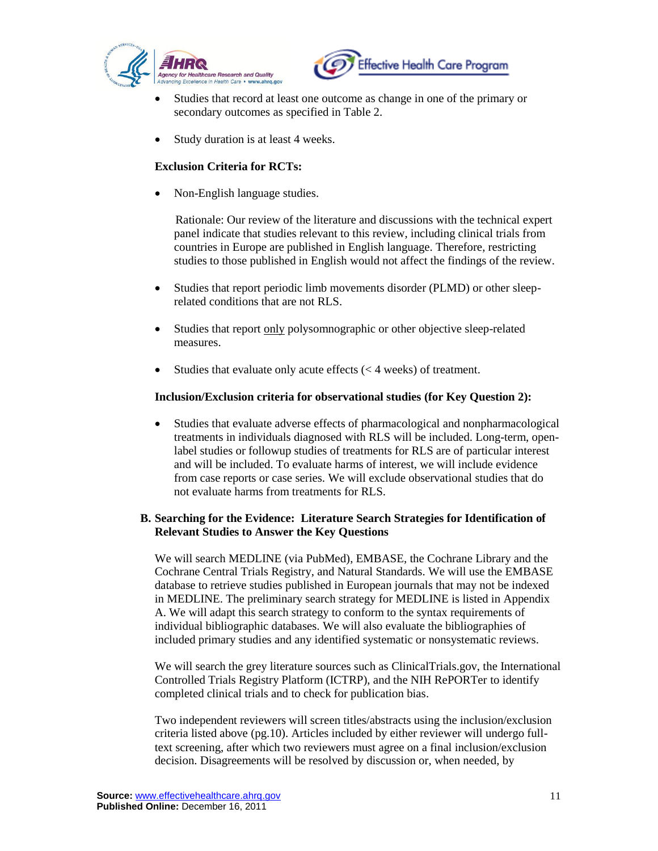



- Studies that record at least one outcome as change in one of the primary or secondary outcomes as specified in Table 2.
- Study duration is at least 4 weeks.

### **Exclusion Criteria for RCTs:**

Non-English language studies.

 Rationale: Our review of the literature and discussions with the technical expert panel indicate that studies relevant to this review, including clinical trials from countries in Europe are published in English language. Therefore, restricting studies to those published in English would not affect the findings of the review.

- Studies that report periodic limb movements disorder (PLMD) or other sleeprelated conditions that are not RLS.
- Studies that report only polysomnographic or other objective sleep-related measures.
- Studies that evaluate only acute effects (< 4 weeks) of treatment.

#### **Inclusion/Exclusion criteria for observational studies (for Key Question 2):**

 Studies that evaluate adverse effects of pharmacological and nonpharmacological treatments in individuals diagnosed with RLS will be included. Long-term, openlabel studies or followup studies of treatments for RLS are of particular interest and will be included. To evaluate harms of interest, we will include evidence from case reports or case series. We will exclude observational studies that do not evaluate harms from treatments for RLS.

#### **B. Searching for the Evidence: Literature Search Strategies for Identification of Relevant Studies to Answer the Key Questions**

We will search MEDLINE (via PubMed), EMBASE, the Cochrane Library and the Cochrane Central Trials Registry, and Natural Standards. We will use the EMBASE database to retrieve studies published in European journals that may not be indexed in MEDLINE. The preliminary search strategy for MEDLINE is listed in Appendix A. We will adapt this search strategy to conform to the syntax requirements of individual bibliographic databases. We will also evaluate the bibliographies of included primary studies and any identified systematic or nonsystematic reviews.

We will search the grey literature sources such as ClinicalTrials.gov, the International Controlled Trials Registry Platform (ICTRP), and the NIH RePORTer to identify completed clinical trials and to check for publication bias.

Two independent reviewers will screen titles/abstracts using the inclusion/exclusion criteria listed above (pg.10). Articles included by either reviewer will undergo fulltext screening, after which two reviewers must agree on a final inclusion/exclusion decision. Disagreements will be resolved by discussion or, when needed, by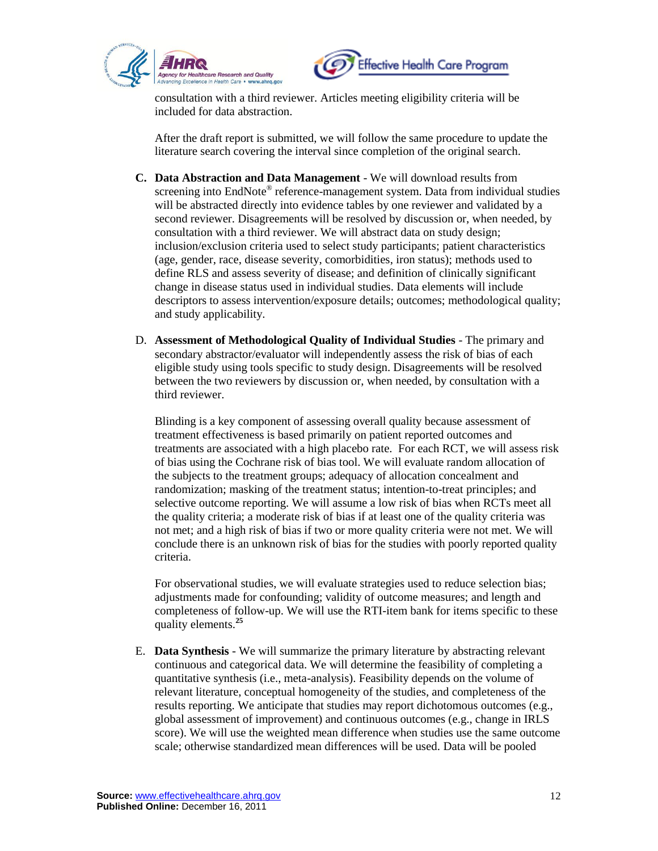



consultation with a third reviewer. Articles meeting eligibility criteria will be included for data abstraction.

After the draft report is submitted, we will follow the same procedure to update the literature search covering the interval since completion of the original search.

- **C. Data Abstraction and Data Management** We will download results from screening into EndNote® reference-management system. Data from individual studies will be abstracted directly into evidence tables by one reviewer and validated by a second reviewer. Disagreements will be resolved by discussion or, when needed, by consultation with a third reviewer. We will abstract data on study design; inclusion/exclusion criteria used to select study participants; patient characteristics (age, gender, race, disease severity, comorbidities, iron status); methods used to define RLS and assess severity of disease; and definition of clinically significant change in disease status used in individual studies. Data elements will include descriptors to assess intervention/exposure details; outcomes; methodological quality; and study applicability.
- D. **Assessment of Methodological Quality of Individual Studies** The primary and secondary abstractor/evaluator will independently assess the risk of bias of each eligible study using tools specific to study design. Disagreements will be resolved between the two reviewers by discussion or, when needed, by consultation with a third reviewer.

Blinding is a key component of assessing overall quality because assessment of treatment effectiveness is based primarily on patient reported outcomes and treatments are associated with a high placebo rate. For each RCT, we will assess risk of bias using the Cochrane risk of bias tool. We will evaluate random allocation of the subjects to the treatment groups; adequacy of allocation concealment and randomization; masking of the treatment status; intention-to-treat principles; and selective outcome reporting. We will assume a low risk of bias when RCTs meet all the quality criteria; a moderate risk of bias if at least one of the quality criteria was not met; and a high risk of bias if two or more quality criteria were not met. We will conclude there is an unknown risk of bias for the studies with poorly reported quality criteria.

For observational studies, we will evaluate strategies used to reduce selection bias; adjustments made for confounding; validity of outcome measures; and length and completeness of follow-up. We will use the RTI-item bank for items specific to these quality elements.**<sup>25</sup>**

E. **Data Synthesis** - We will summarize the primary literature by abstracting relevant continuous and categorical data. We will determine the feasibility of completing a quantitative synthesis (i.e., meta-analysis). Feasibility depends on the volume of relevant literature, conceptual homogeneity of the studies, and completeness of the results reporting. We anticipate that studies may report dichotomous outcomes (e.g., global assessment of improvement) and continuous outcomes (e.g., change in IRLS score). We will use the weighted mean difference when studies use the same outcome scale; otherwise standardized mean differences will be used. Data will be pooled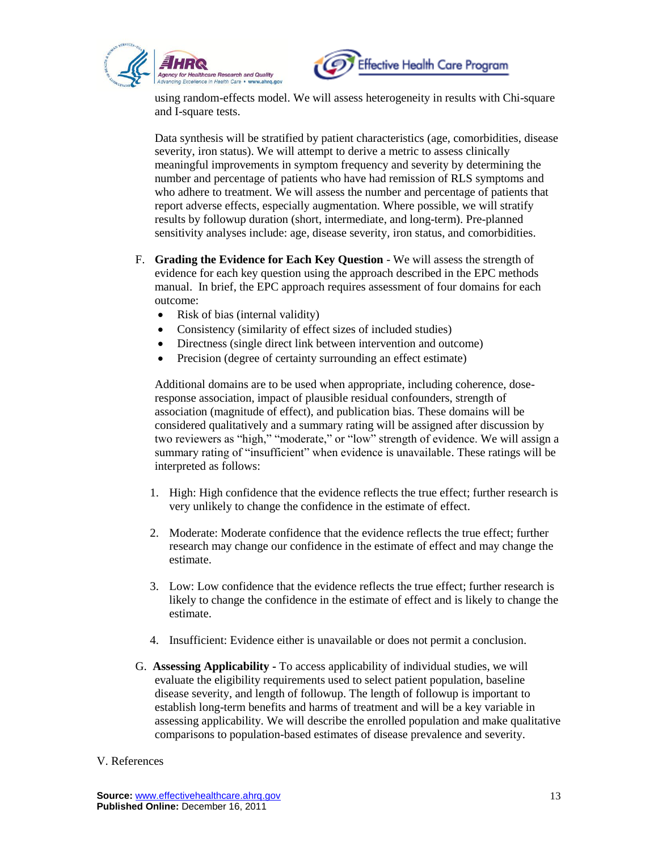



using random-effects model. We will assess heterogeneity in results with Chi-square and I-square tests.

Data synthesis will be stratified by patient characteristics (age, comorbidities, disease severity, iron status). We will attempt to derive a metric to assess clinically meaningful improvements in symptom frequency and severity by determining the number and percentage of patients who have had remission of RLS symptoms and who adhere to treatment. We will assess the number and percentage of patients that report adverse effects, especially augmentation. Where possible, we will stratify results by followup duration (short, intermediate, and long-term). Pre-planned sensitivity analyses include: age, disease severity, iron status, and comorbidities.

- F. **Grading the Evidence for Each Key Question**  We will assess the strength of evidence for each key question using the approach described in the EPC methods manual. In brief, the EPC approach requires assessment of four domains for each outcome:
	- Risk of bias (internal validity)
	- Consistency (similarity of effect sizes of included studies)
	- Directness (single direct link between intervention and outcome)
	- Precision (degree of certainty surrounding an effect estimate)

Additional domains are to be used when appropriate, including coherence, doseresponse association, impact of plausible residual confounders, strength of association (magnitude of effect), and publication bias. These domains will be considered qualitatively and a summary rating will be assigned after discussion by two reviewers as "high," "moderate," or "low" strength of evidence. We will assign a summary rating of "insufficient" when evidence is unavailable. These ratings will be interpreted as follows:

- 1. High: High confidence that the evidence reflects the true effect; further research is very unlikely to change the confidence in the estimate of effect.
- 2. Moderate: Moderate confidence that the evidence reflects the true effect; further research may change our confidence in the estimate of effect and may change the estimate.
- 3. Low: Low confidence that the evidence reflects the true effect; further research is likely to change the confidence in the estimate of effect and is likely to change the estimate.
- 4. Insufficient: Evidence either is unavailable or does not permit a conclusion.
- G. **Assessing Applicability -** To access applicability of individual studies, we will evaluate the eligibility requirements used to select patient population, baseline disease severity, and length of followup. The length of followup is important to establish long-term benefits and harms of treatment and will be a key variable in assessing applicability. We will describe the enrolled population and make qualitative comparisons to population-based estimates of disease prevalence and severity.

#### V. References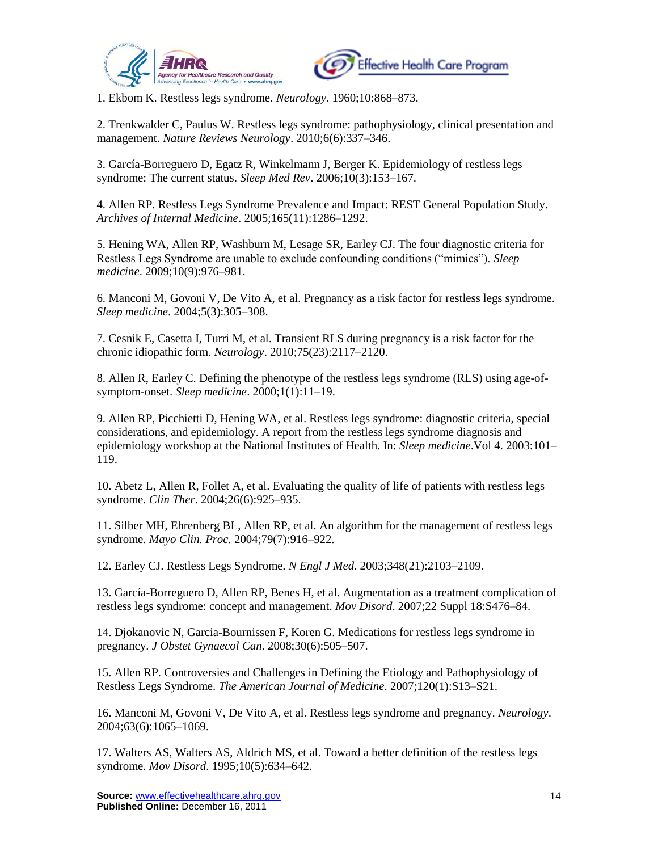



1. Ekbom K. Restless legs syndrome. *Neurology*. 1960;10:868–873.

2. Trenkwalder C, Paulus W. Restless legs syndrome: pathophysiology, clinical presentation and management. *Nature Reviews Neurology*. 2010;6(6):337–346.

3. García-Borreguero D, Egatz R, Winkelmann J, Berger K. Epidemiology of restless legs syndrome: The current status. *Sleep Med Rev*. 2006;10(3):153–167.

4. Allen RP. Restless Legs Syndrome Prevalence and Impact: REST General Population Study. *Archives of Internal Medicine*. 2005;165(11):1286–1292.

5. Hening WA, Allen RP, Washburn M, Lesage SR, Earley CJ. The four diagnostic criteria for Restless Legs Syndrome are unable to exclude confounding conditions ("mimics"). *Sleep medicine*. 2009;10(9):976–981.

6. Manconi M, Govoni V, De Vito A, et al. Pregnancy as a risk factor for restless legs syndrome. *Sleep medicine*. 2004;5(3):305–308.

7. Cesnik E, Casetta I, Turri M, et al. Transient RLS during pregnancy is a risk factor for the chronic idiopathic form. *Neurology*. 2010;75(23):2117–2120.

8. Allen R, Earley C. Defining the phenotype of the restless legs syndrome (RLS) using age-ofsymptom-onset. *Sleep medicine*. 2000;1(1):11–19.

9. Allen RP, Picchietti D, Hening WA, et al. Restless legs syndrome: diagnostic criteria, special considerations, and epidemiology. A report from the restless legs syndrome diagnosis and epidemiology workshop at the National Institutes of Health. In: *Sleep medicine*.Vol 4. 2003:101– 119.

10. Abetz L, Allen R, Follet A, et al. Evaluating the quality of life of patients with restless legs syndrome. *Clin Ther*. 2004;26(6):925–935.

11. Silber MH, Ehrenberg BL, Allen RP, et al. An algorithm for the management of restless legs syndrome. *Mayo Clin. Proc.* 2004;79(7):916–922.

12. Earley CJ. Restless Legs Syndrome. *N Engl J Med*. 2003;348(21):2103–2109.

13. García-Borreguero D, Allen RP, Benes H, et al. Augmentation as a treatment complication of restless legs syndrome: concept and management. *Mov Disord*. 2007;22 Suppl 18:S476–84.

14. Djokanovic N, Garcia-Bournissen F, Koren G. Medications for restless legs syndrome in pregnancy. *J Obstet Gynaecol Can*. 2008;30(6):505–507.

15. Allen RP. Controversies and Challenges in Defining the Etiology and Pathophysiology of Restless Legs Syndrome. *The American Journal of Medicine*. 2007;120(1):S13–S21.

16. Manconi M, Govoni V, De Vito A, et al. Restless legs syndrome and pregnancy. *Neurology*. 2004;63(6):1065–1069.

17. Walters AS, Walters AS, Aldrich MS, et al. Toward a better definition of the restless legs syndrome. *Mov Disord*. 1995;10(5):634–642.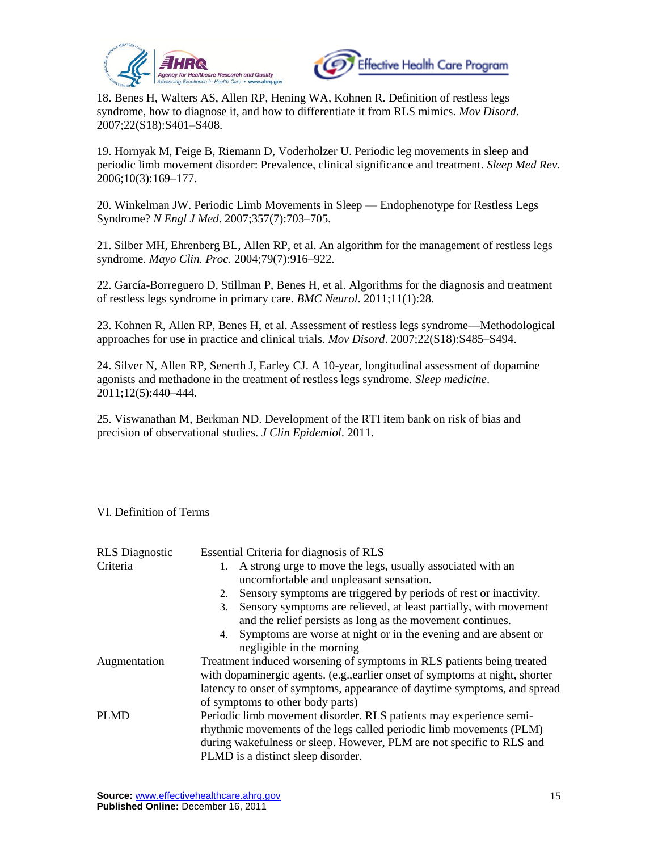



18. Benes H, Walters AS, Allen RP, Hening WA, Kohnen R. Definition of restless legs syndrome, how to diagnose it, and how to differentiate it from RLS mimics. *Mov Disord*. 2007;22(S18):S401–S408.

19. Hornyak M, Feige B, Riemann D, Voderholzer U. Periodic leg movements in sleep and periodic limb movement disorder: Prevalence, clinical significance and treatment. *Sleep Med Rev*. 2006;10(3):169–177.

20. Winkelman JW. Periodic Limb Movements in Sleep — Endophenotype for Restless Legs Syndrome? *N Engl J Med*. 2007;357(7):703–705.

21. Silber MH, Ehrenberg BL, Allen RP, et al. An algorithm for the management of restless legs syndrome. *Mayo Clin. Proc.* 2004;79(7):916–922.

22. García-Borreguero D, Stillman P, Benes H, et al. Algorithms for the diagnosis and treatment of restless legs syndrome in primary care. *BMC Neurol*. 2011;11(1):28.

23. Kohnen R, Allen RP, Benes H, et al. Assessment of restless legs syndrome—Methodological approaches for use in practice and clinical trials. *Mov Disord*. 2007;22(S18):S485–S494.

24. Silver N, Allen RP, Senerth J, Earley CJ. A 10-year, longitudinal assessment of dopamine agonists and methadone in the treatment of restless legs syndrome. *Sleep medicine*. 2011;12(5):440–444.

25. Viswanathan M, Berkman ND. Development of the RTI item bank on risk of bias and precision of observational studies. *J Clin Epidemiol*. 2011.

#### VI. Definition of Terms

| <b>RLS</b> Diagnostic | Essential Criteria for diagnosis of RLS                                                               |  |  |  |
|-----------------------|-------------------------------------------------------------------------------------------------------|--|--|--|
| Criteria              | A strong urge to move the legs, usually associated with an<br>uncomfortable and unpleasant sensation. |  |  |  |
|                       | Sensory symptoms are triggered by periods of rest or inactivity.<br>2.                                |  |  |  |
|                       | Sensory symptoms are relieved, at least partially, with movement<br>3.                                |  |  |  |
|                       | and the relief persists as long as the movement continues.                                            |  |  |  |
|                       | Symptoms are worse at night or in the evening and are absent or<br>4.                                 |  |  |  |
|                       | negligible in the morning                                                                             |  |  |  |
| Augmentation          | Treatment induced worsening of symptoms in RLS patients being treated                                 |  |  |  |
|                       | with dopaminergic agents. (e.g., earlier onset of symptoms at night, shorter                          |  |  |  |
|                       | latency to onset of symptoms, appearance of daytime symptoms, and spread                              |  |  |  |
|                       | of symptoms to other body parts)                                                                      |  |  |  |
| <b>PLMD</b>           | Periodic limb movement disorder. RLS patients may experience semi-                                    |  |  |  |
|                       | rhythmic movements of the legs called periodic limb movements (PLM)                                   |  |  |  |
|                       | during wakefulness or sleep. However, PLM are not specific to RLS and                                 |  |  |  |
|                       | PLMD is a distinct sleep disorder.                                                                    |  |  |  |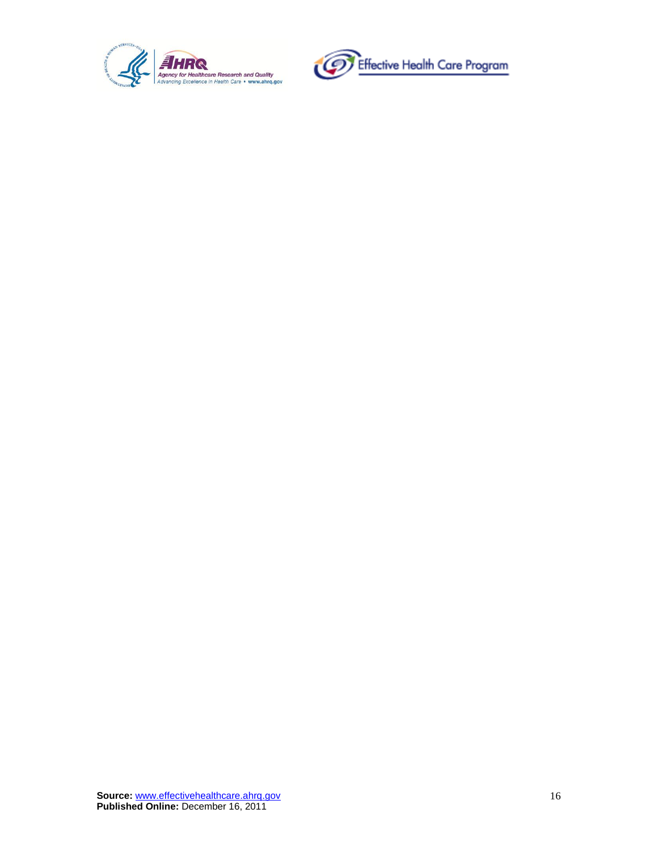

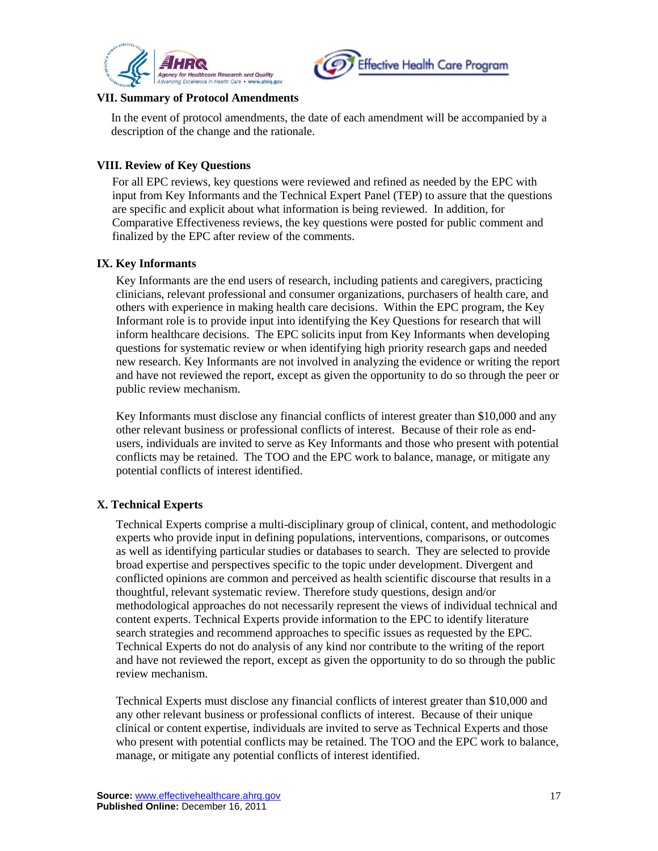



## **VII. Summary of Protocol Amendments**

In the event of protocol amendments, the date of each amendment will be accompanied by a description of the change and the rationale.

## **VIII. Review of Key Questions**

For all EPC reviews, key questions were reviewed and refined as needed by the EPC with input from Key Informants and the Technical Expert Panel (TEP) to assure that the questions are specific and explicit about what information is being reviewed. In addition, for Comparative Effectiveness reviews, the key questions were posted for public comment and finalized by the EPC after review of the comments.

## **IX. Key Informants**

Key Informants are the end users of research, including patients and caregivers, practicing clinicians, relevant professional and consumer organizations, purchasers of health care, and others with experience in making health care decisions. Within the EPC program, the Key Informant role is to provide input into identifying the Key Questions for research that will inform healthcare decisions. The EPC solicits input from Key Informants when developing questions for systematic review or when identifying high priority research gaps and needed new research. Key Informants are not involved in analyzing the evidence or writing the report and have not reviewed the report, except as given the opportunity to do so through the peer or public review mechanism.

Key Informants must disclose any financial conflicts of interest greater than \$10,000 and any other relevant business or professional conflicts of interest. Because of their role as endusers, individuals are invited to serve as Key Informants and those who present with potential conflicts may be retained. The TOO and the EPC work to balance, manage, or mitigate any potential conflicts of interest identified.

# **X. Technical Experts**

Technical Experts comprise a multi-disciplinary group of clinical, content, and methodologic experts who provide input in defining populations, interventions, comparisons, or outcomes as well as identifying particular studies or databases to search. They are selected to provide broad expertise and perspectives specific to the topic under development. Divergent and conflicted opinions are common and perceived as health scientific discourse that results in a thoughtful, relevant systematic review. Therefore study questions, design and/or methodological approaches do not necessarily represent the views of individual technical and content experts. Technical Experts provide information to the EPC to identify literature search strategies and recommend approaches to specific issues as requested by the EPC. Technical Experts do not do analysis of any kind nor contribute to the writing of the report and have not reviewed the report, except as given the opportunity to do so through the public review mechanism.

Technical Experts must disclose any financial conflicts of interest greater than \$10,000 and any other relevant business or professional conflicts of interest. Because of their unique clinical or content expertise, individuals are invited to serve as Technical Experts and those who present with potential conflicts may be retained. The TOO and the EPC work to balance, manage, or mitigate any potential conflicts of interest identified.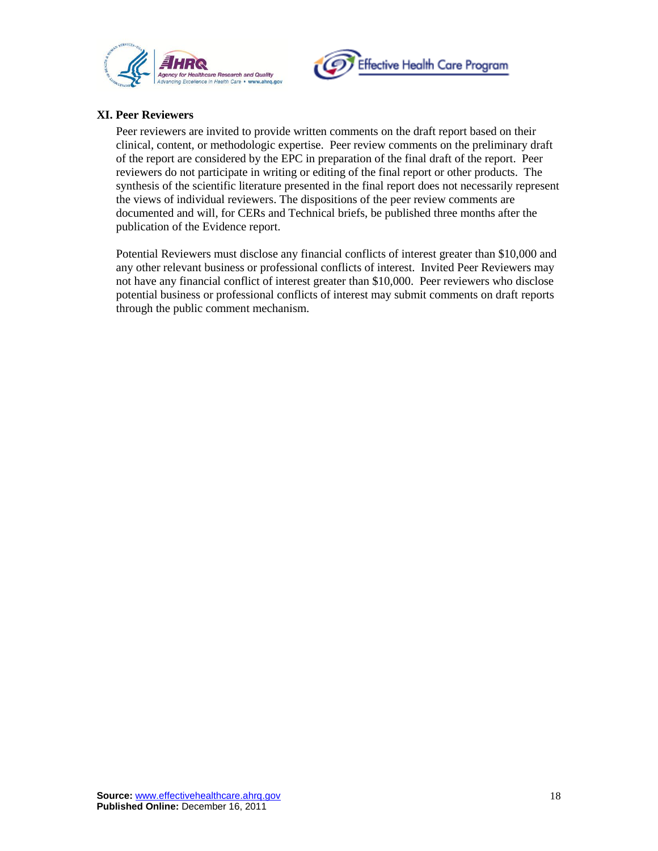



# **XI. Peer Reviewers**

Peer reviewers are invited to provide written comments on the draft report based on their clinical, content, or methodologic expertise. Peer review comments on the preliminary draft of the report are considered by the EPC in preparation of the final draft of the report. Peer reviewers do not participate in writing or editing of the final report or other products. The synthesis of the scientific literature presented in the final report does not necessarily represent the views of individual reviewers. The dispositions of the peer review comments are documented and will, for CERs and Technical briefs, be published three months after the publication of the Evidence report.

Potential Reviewers must disclose any financial conflicts of interest greater than \$10,000 and any other relevant business or professional conflicts of interest. Invited Peer Reviewers may not have any financial conflict of interest greater than \$10,000. Peer reviewers who disclose potential business or professional conflicts of interest may submit comments on draft reports through the public comment mechanism.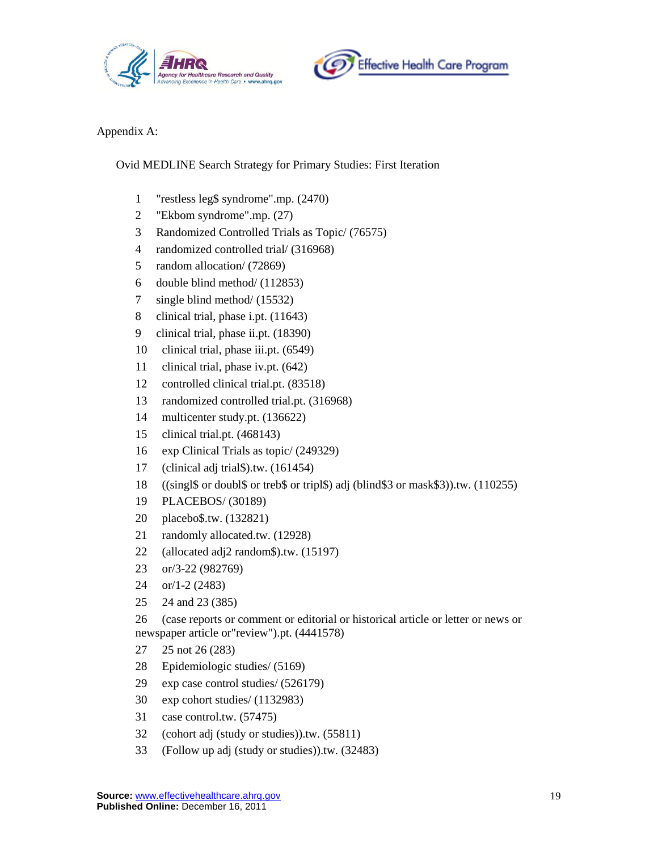



# Appendix A:

# Ovid MEDLINE Search Strategy for Primary Studies: First Iteration

- 1 "restless leg\$ syndrome".mp. (2470)
- 2 "Ekbom syndrome".mp. (27)
- 3 Randomized Controlled Trials as Topic/ (76575)
- 4 randomized controlled trial/ (316968)
- 5 random allocation/ (72869)
- 6 double blind method/ (112853)
- 7 single blind method/ (15532)
- 8 clinical trial, phase [i.pt.](http://i.pt/) (11643)
- 9 clinical trial, phase [ii.pt.](http://ii.pt/) (18390)
- 10 clinical trial, phase [iii.pt.](http://iii.pt/) (6549)
- 11 clinical trial, phase [iv.pt.](http://iv.pt/) (642)
- 12 controlled clinical [trial.pt.](http://trial.pt/) (83518)
- 13 randomized controlled [trial.pt.](http://trial.pt/) (316968)
- 14 multicenter [study.pt.](http://study.pt/) (136622)
- 15 clinical [trial.pt.](http://trial.pt/) (468143)
- 16 exp Clinical Trials as topic/ (249329)
- 17 (clinical adj trial\$).tw. (161454)
- 18 ((singl\$ or doubl\$ or treb\$ or tripl\$) adj (blind\$3 or mask\$3)).tw. (110255)
- 19 PLACEBOS/ (30189)
- 20 placebo\$.tw. (132821)
- 21 randomly [allocated.tw.](http://allocated.tw/) (12928)
- 22 (allocated adj2 random\$).tw. (15197)
- 23 or/3-22 (982769)
- 24 or/1-2 (2483)
- 25 24 and 23 (385)
- 26 (case reports or comment or editorial or historical article or letter or news or newspaper article or"review").pt. (4441578)
- 27 25 not 26 (283)
- 28 Epidemiologic studies/ (5169)
- 29 exp case control studies/ (526179)
- 30 exp cohort studies/ (1132983)
- 31 case [control.tw.](http://control.tw/) (57475)
- 32 (cohort adj (study or studies)).tw. (55811)
- 33 (Follow up adj (study or studies)).tw. (32483)